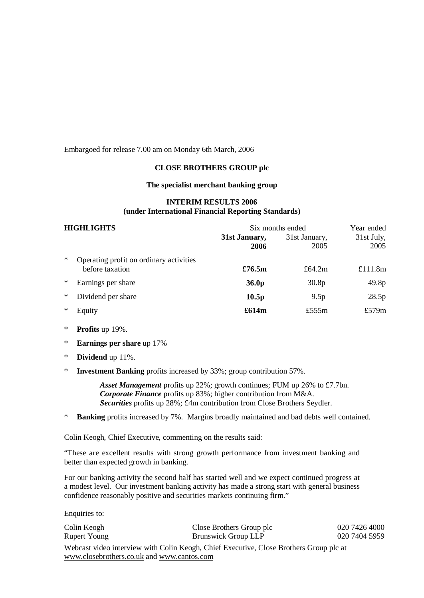Embargoed for release 7.00 am on Monday 6th March, 2006

#### **CLOSE BROTHERS GROUP plc**

#### **The specialist merchant banking group**

#### **INTERIM RESULTS 2006 (under International Financial Reporting Standards)**

| <b>HIGHLIGHTS</b> |                                                            | Six months ended | Year ended    |                   |
|-------------------|------------------------------------------------------------|------------------|---------------|-------------------|
|                   |                                                            | 31st January,    | 31st January, | 31st July,        |
|                   |                                                            | 2006             | 2005          | 2005              |
| ∗                 | Operating profit on ordinary activities<br>before taxation | £76.5 $m$        | £64.2 $m$     | £111.8 $m$        |
| ∗                 | Earnings per share                                         | 36.0p            | 30.8p         | 49.8 <sub>p</sub> |
| ∗                 | Dividend per share                                         | 10.5p            | 9.5p          | 28.5p             |
| $\ast$            | Equity                                                     | £614m            | £555 $m$      | £579 $m$          |

- \* **Profits** up 19%.
- \* **Earnings per share** up 17%
- \* **Dividend** up 11%.
- \* **Investment Banking** profits increased by 33%; group contribution 57%.

*Asset Management* profits up 22%; growth continues; FUM up 26% to £7.7bn. *Corporate Finance* profits up 83%; higher contribution from M&A. *Securities* profits up 28%; £4m contribution from Close Brothers Seydler.

\* **Banking** profits increased by 7%. Margins broadly maintained and bad debts well contained.

Colin Keogh, Chief Executive, commenting on the results said:

"These are excellent results with strong growth performance from investment banking and better than expected growth in banking.

For our banking activity the second half has started well and we expect continued progress at a modest level. Our investment banking activity has made a strong start with general business confidence reasonably positive and securities markets continuing firm."

Enquiries to:

| Colin Keogh                                                                            | Close Brothers Group plc | 020 7426 4000 |  |  |  |  |
|----------------------------------------------------------------------------------------|--------------------------|---------------|--|--|--|--|
| <b>Brunswick Group LLP</b><br><b>Rupert Young</b>                                      |                          | 020 7404 5959 |  |  |  |  |
| Webcast video interview with Colin Keogh, Chief Executive, Close Brothers Group plc at |                          |               |  |  |  |  |
| www.closebrothers.co.uk and www.cantos.com                                             |                          |               |  |  |  |  |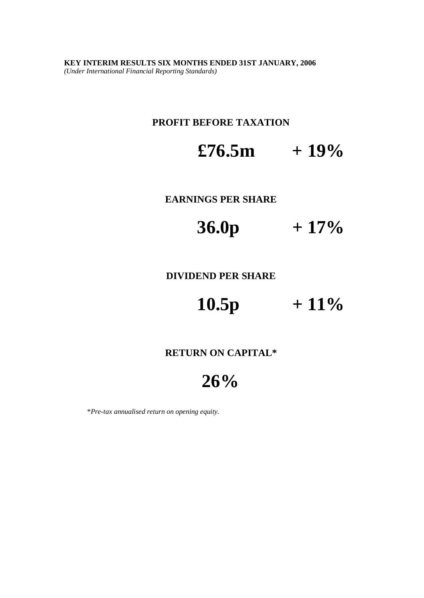**KEY INTERIM RESULTS SIX MONTHS ENDED 31ST JANUARY, 2006**  *(Under International Financial Reporting Standards)* 

**PROFIT BEFORE TAXATION** 

## $\text{\textsterling}76.5m + 19\%$

**EARNINGS PER SHARE** 

## **36.0p + 17%**

**DIVIDEND PER SHARE** 

# $10.5p + 11\%$

## **RETURN ON CAPITAL\***

## **26%**

\**Pre-tax annualised return on opening equity.*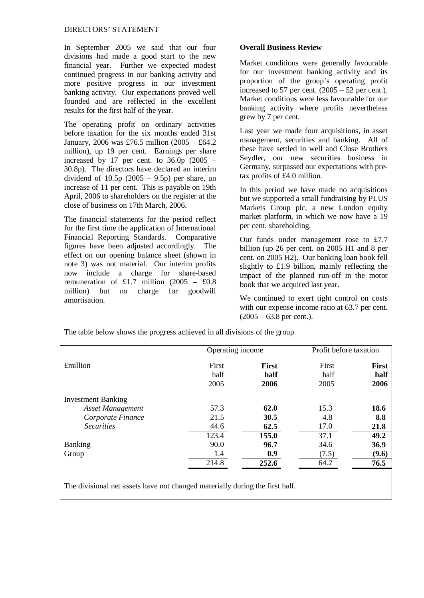#### DIRECTORS' STATEMENT

In September 2005 we said that our four divisions had made a good start to the new financial year. Further we expected modest continued progress in our banking activity and more positive progress in our investment banking activity. Our expectations proved well founded and are reflected in the excellent results for the first half of the year.

The operating profit on ordinary activities before taxation for the six months ended 31st January, 2006 was £76.5 million (2005 – £64.2 million), up 19 per cent. Earnings per share increased by 17 per cent. to  $36.0p$  (2005 – 30.8p). The directors have declared an interim dividend of  $10.5p$  (2005 – 9.5p) per share, an increase of 11 per cent. This is payable on 19th April, 2006 to shareholders on the register at the close of business on 17th March, 2006.

The financial statements for the period reflect for the first time the application of International Financial Reporting Standards. Comparative figures have been adjusted accordingly. The effect on our opening balance sheet (shown in note 3) was not material. Our interim profits now include a charge for share-based remuneration of £1.7 million  $(2005 - \text{\pounds}0.8)$ million) but no charge for goodwill amortisation.

#### **Overall Business Review**

Market conditions were generally favourable for our investment banking activity and its proportion of the group's operating profit increased to 57 per cent.  $(2005 – 52$  per cent.). Market conditions were less favourable for our banking activity where profits nevertheless grew by 7 per cent.

Last year we made four acquisitions, in asset management, securities and banking. All of these have settled in well and Close Brothers Seydler, our new securities business in Germany, surpassed our expectations with pretax profits of £4.0 million.

In this period we have made no acquisitions but we supported a small fundraising by PLUS Markets Group plc, a new London equity market platform, in which we now have a 19 per cent. shareholding.

Our funds under management rose to £7.7 billion (up 26 per cent. on 2005 H1 and 8 per cent. on 2005 H2). Our banking loan book fell slightly to £1.9 billion, mainly reflecting the impact of the planned run-off in the motor book that we acquired last year.

We continued to exert tight control on costs with our expense income ratio at 63.7 per cent.  $(2005 - 63.8$  per cent.).

|                           | Operating income      |       |       | Profit before taxation |  |
|---------------------------|-----------------------|-------|-------|------------------------|--|
| <b>£million</b>           | First<br><b>First</b> |       | First | First                  |  |
|                           | half                  | half  | half  | half                   |  |
|                           | 2005                  | 2006  | 2005  | 2006                   |  |
| <b>Investment Banking</b> |                       |       |       |                        |  |
| Asset Management          | 57.3                  | 62.0  | 15.3  | 18.6                   |  |
| Corporate Finance         | 21.5                  | 30.5  | 4.8   | 8.8                    |  |
| <b>Securities</b>         | 44.6                  | 62.5  | 17.0  | 21.8                   |  |
|                           | 123.4                 | 155.0 | 37.1  | 49.2                   |  |
| <b>Banking</b>            | 90.0                  | 96.7  | 34.6  | 36.9                   |  |
| Group                     | 1.4                   | 0.9   | (7.5) | (9.6)                  |  |
|                           | 214.8                 | 252.6 | 64.2  | 76.5                   |  |
|                           |                       |       |       |                        |  |

The table below shows the progress achieved in all divisions of the group.

The divisional net assets have not changed materially during the first half.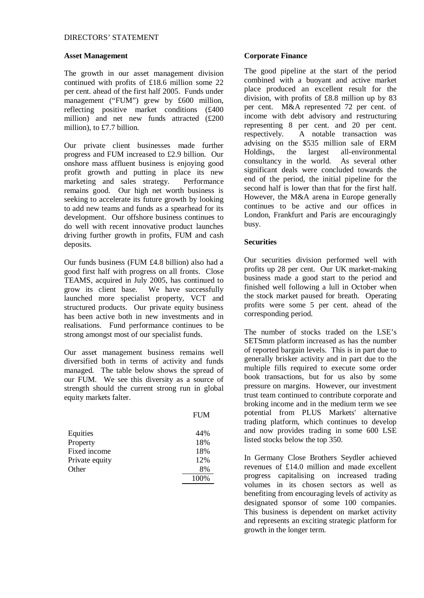#### **Asset Management**

The growth in our asset management division continued with profits of £18.6 million some 22 per cent. ahead of the first half 2005. Funds under management ("FUM") grew by £600 million, reflecting positive market conditions (£400 million) and net new funds attracted (£200 million), to £7.7 billion.

Our private client businesses made further progress and FUM increased to £2.9 billion. Our onshore mass affluent business is enjoying good profit growth and putting in place its new marketing and sales strategy. Performance remains good. Our high net worth business is seeking to accelerate its future growth by looking to add new teams and funds as a spearhead for its development. Our offshore business continues to do well with recent innovative product launches driving further growth in profits, FUM and cash deposits.

Our funds business (FUM £4.8 billion) also had a good first half with progress on all fronts. Close TEAMS, acquired in July 2005, has continued to grow its client base. We have successfully launched more specialist property, VCT and structured products. Our private equity business has been active both in new investments and in realisations. Fund performance continues to be strong amongst most of our specialist funds.

Our asset management business remains well diversified both in terms of activity and funds managed. The table below shows the spread of our FUM. We see this diversity as a source of strength should the current strong run in global equity markets falter.

FUM

|                | .    |
|----------------|------|
| Equities       | 44%  |
| Property       | 18%  |
| Fixed income   | 18%  |
| Private equity | 12%  |
| Other          | 8%   |
|                | 100% |

#### **Corporate Finance**

The good pipeline at the start of the period combined with a buoyant and active market place produced an excellent result for the division, with profits of £8.8 million up by 83 per cent. M&A represented 72 per cent. of income with debt advisory and restructuring representing 8 per cent. and 20 per cent. respectively. A notable transaction was advising on the \$535 million sale of ERM Holdings, the largest all-environmental consultancy in the world. As several other significant deals were concluded towards the end of the period, the initial pipeline for the second half is lower than that for the first half. However, the M&A arena in Europe generally continues to be active and our offices in London, Frankfurt and Paris are encouragingly busy.

#### **Securities**

Our securities division performed well with profits up 28 per cent. Our UK market-making business made a good start to the period and finished well following a lull in October when the stock market paused for breath. Operating profits were some 5 per cent. ahead of the corresponding period.

The number of stocks traded on the LSE's SETSmm platform increased as has the number of reported bargain levels. This is in part due to generally brisker activity and in part due to the multiple fills required to execute some order book transactions, but for us also by some pressure on margins. However, our investment trust team continued to contribute corporate and broking income and in the medium term we see potential from PLUS Markets' alternative trading platform, which continues to develop and now provides trading in some 600 LSE listed stocks below the top 350.

In Germany Close Brothers Seydler achieved revenues of £14.0 million and made excellent progress capitalising on increased trading volumes in its chosen sectors as well as benefiting from encouraging levels of activity as designated sponsor of some 100 companies. This business is dependent on market activity and represents an exciting strategic platform for growth in the longer term.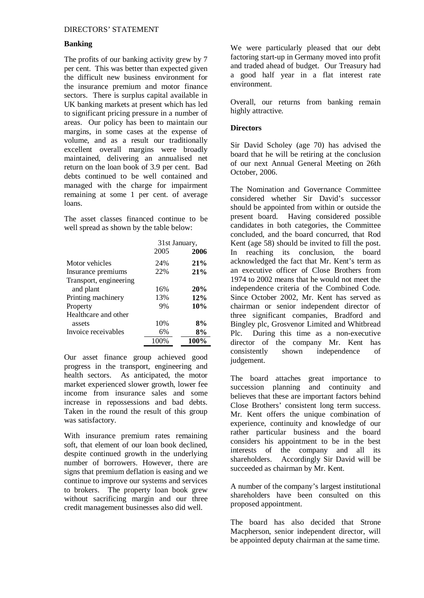#### **Banking**

The profits of our banking activity grew by 7 per cent. This was better than expected given the difficult new business environment for the insurance premium and motor finance sectors. There is surplus capital available in UK banking markets at present which has led to significant pricing pressure in a number of areas. Our policy has been to maintain our margins, in some cases at the expense of volume, and as a result our traditionally excellent overall margins were broadly maintained, delivering an annualised net return on the loan book of 3.9 per cent. Bad debts continued to be well contained and managed with the charge for impairment remaining at some 1 per cent. of average loans.

The asset classes financed continue to be well spread as shown by the table below:

|                        |      | 31st January, |  |
|------------------------|------|---------------|--|
|                        | 2005 | 2006          |  |
| Motor vehicles         | 24%  | 21%           |  |
| Insurance premiums     | 22%  | 21%           |  |
| Transport, engineering |      |               |  |
| and plant              | 16%  | 20%           |  |
| Printing machinery     | 13%  | 12%           |  |
| Property               | 9%   | 10%           |  |
| Healthcare and other   |      |               |  |
| assets                 | 10%  | 8%            |  |
| Invoice receivables    | 6%   | 8%            |  |
|                        | 100% | 100%          |  |

Our asset finance group achieved good progress in the transport, engineering and health sectors. As anticipated, the motor market experienced slower growth, lower fee income from insurance sales and some increase in repossessions and bad debts. Taken in the round the result of this group was satisfactory.

With insurance premium rates remaining soft, that element of our loan book declined, despite continued growth in the underlying number of borrowers. However, there are signs that premium deflation is easing and we continue to improve our systems and services to brokers. The property loan book grew without sacrificing margin and our three credit management businesses also did well.

We were particularly pleased that our debt factoring start-up in Germany moved into profit and traded ahead of budget. Our Treasury had a good half year in a flat interest rate environment.

Overall, our returns from banking remain highly attractive.

#### **Directors**

Sir David Scholey (age 70) has advised the board that he will be retiring at the conclusion of our next Annual General Meeting on 26th October, 2006.

The Nomination and Governance Committee considered whether Sir David's successor should be appointed from within or outside the present board. Having considered possible candidates in both categories, the Committee concluded, and the board concurred, that Rod Kent (age 58) should be invited to fill the post. In reaching its conclusion, the board acknowledged the fact that Mr. Kent's term as an executive officer of Close Brothers from 1974 to 2002 means that he would not meet the independence criteria of the Combined Code. Since October 2002, Mr. Kent has served as chairman or senior independent director of three significant companies, Bradford and Bingley plc, Grosvenor Limited and Whitbread Plc. During this time as a non-executive director of the company Mr. Kent has consistently shown independence of judgement.

The board attaches great importance to succession planning and continuity and believes that these are important factors behind Close Brothers' consistent long term success. Mr. Kent offers the unique combination of experience, continuity and knowledge of our rather particular business and the board considers his appointment to be in the best interests of the company and all its shareholders. Accordingly Sir David will be succeeded as chairman by Mr. Kent.

A number of the company's largest institutional shareholders have been consulted on this proposed appointment.

The board has also decided that Strone Macpherson, senior independent director, will be appointed deputy chairman at the same time.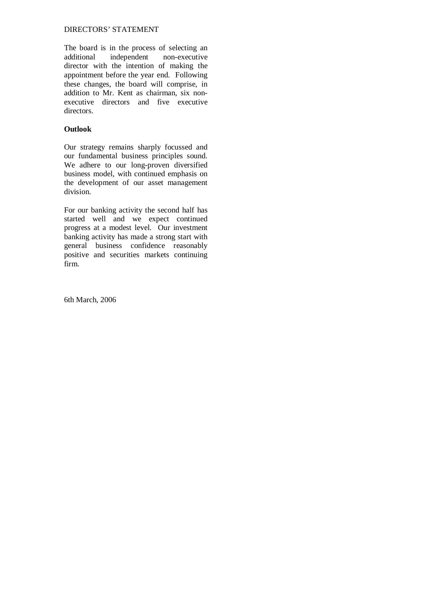#### DIRECTORS' STATEMENT

The board is in the process of selecting an additional independent non-executive director with the intention of making the appointment before the year end. Following these changes, the board will comprise, in addition to Mr. Kent as chairman, six nonexecutive directors and five executive directors.

#### **Outlook**

Our strategy remains sharply focussed and our fundamental business principles sound. We adhere to our long-proven diversified business model, with continued emphasis on the development of our asset management division.

For our banking activity the second half has started well and we expect continued progress at a modest level. Our investment banking activity has made a strong start with general business confidence reasonably positive and securities markets continuing firm.

6th March, 2006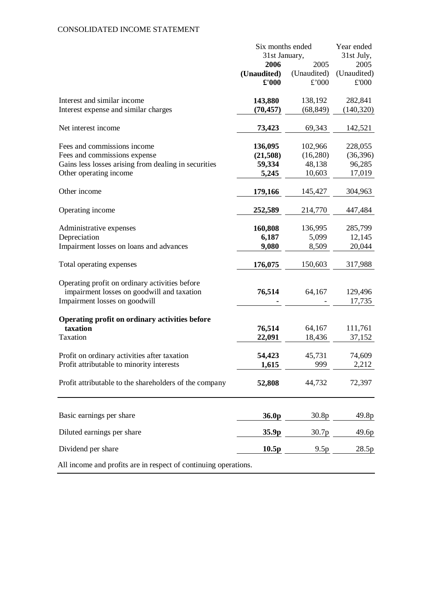## CONSOLIDATED INCOME STATEMENT

|                                                                                                                               | Six months ended  |             | Year ended        |
|-------------------------------------------------------------------------------------------------------------------------------|-------------------|-------------|-------------------|
|                                                                                                                               | 31st January,     |             | 31st July,        |
|                                                                                                                               | 2006              | 2005        | 2005              |
|                                                                                                                               | (Unaudited)       | (Unaudited) | (Unaudited)       |
|                                                                                                                               | $\pounds 000$     | £'000       | £'000             |
| Interest and similar income                                                                                                   | 143,880           | 138,192     | 282,841           |
| Interest expense and similar charges                                                                                          | (70, 457)         | (68, 849)   | (140, 320)        |
| Net interest income                                                                                                           | 73,423            | 69,343      | 142,521           |
| Fees and commissions income                                                                                                   | 136,095           | 102,966     | 228,055           |
| Fees and commissions expense                                                                                                  | (21,508)          | (16,280)    | (36, 396)         |
| Gains less losses arising from dealing in securities                                                                          | 59,334            | 48,138      | 96,285            |
| Other operating income                                                                                                        | 5,245             | 10,603      | 17,019            |
| Other income                                                                                                                  | 179,166           | 145,427     | 304,963           |
| Operating income                                                                                                              | 252,589           | 214,770     | 447,484           |
| Administrative expenses                                                                                                       | 160,808           | 136,995     | 285,799           |
| Depreciation                                                                                                                  | 6,187             | 5,099       | 12,145            |
| Impairment losses on loans and advances                                                                                       | 9,080             | 8,509       | 20,044            |
| Total operating expenses                                                                                                      | 176,075           | 150,603     | 317,988           |
| Operating profit on ordinary activities before<br>impairment losses on goodwill and taxation<br>Impairment losses on goodwill | 76,514            | 64,167      | 129,496<br>17,735 |
|                                                                                                                               |                   |             |                   |
| Operating profit on ordinary activities before                                                                                |                   |             |                   |
| taxation                                                                                                                      | 76,514            | 64,167      | 111,761           |
| Taxation                                                                                                                      | 22,091            | 18,436      | 37,152            |
| Profit on ordinary activities after taxation                                                                                  | 54,423            | 45,731      | 74,609            |
| Profit attributable to minority interests                                                                                     | 1,615             | 999         | 2,212             |
| Profit attributable to the shareholders of the company                                                                        | 52,808            | 44,732      | 72,397            |
|                                                                                                                               |                   |             |                   |
| Basic earnings per share                                                                                                      | 36.0 <sub>p</sub> | 30.8p       | 49.8p             |
| Diluted earnings per share                                                                                                    | 35.9 <sub>p</sub> | 30.7p       | 49.6p             |
| Dividend per share                                                                                                            | 10.5p             | 9.5p        | 28.5p             |
| All income and profits are in respect of continuing operations.                                                               |                   |             |                   |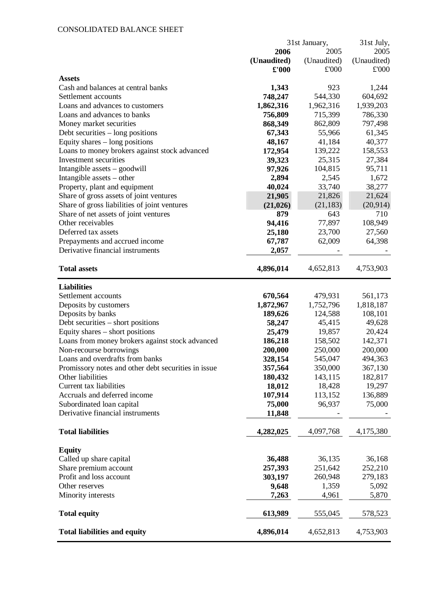## CONSOLIDATED BALANCE SHEET

|                                                     |               | 31st January, | 31st July,  |
|-----------------------------------------------------|---------------|---------------|-------------|
|                                                     | 2006          | 2005          | 2005        |
|                                                     | (Unaudited)   | (Unaudited)   | (Unaudited) |
|                                                     | $\pounds 000$ | £'000         | £'000       |
| <b>Assets</b>                                       |               |               |             |
| Cash and balances at central banks                  | 1,343         | 923           | 1,244       |
| Settlement accounts                                 | 748,247       | 544,330       | 604,692     |
| Loans and advances to customers                     | 1,862,316     | 1,962,316     | 1,939,203   |
| Loans and advances to banks                         | 756,809       | 715,399       | 786,330     |
| Money market securities                             | 868,349       | 862,809       | 797,498     |
| Debt securities – long positions                    | 67,343        | 55,966        | 61,345      |
| Equity shares – long positions                      | 48,167        | 41,184        | 40,377      |
| Loans to money brokers against stock advanced       | 172,954       | 139,222       | 158,553     |
| Investment securities                               | 39,323        | 25,315        | 27,384      |
| Intangible assets – goodwill                        | 97,926        | 104,815       | 95,711      |
| Intangible assets – other                           | 2,894         | 2,545         | 1,672       |
| Property, plant and equipment                       | 40,024        | 33,740        | 38,277      |
| Share of gross assets of joint ventures             | 21,905        | 21,826        | 21,624      |
| Share of gross liabilities of joint ventures        | (21, 026)     | (21, 183)     | (20, 914)   |
| Share of net assets of joint ventures               | 879           | 643           | 710         |
| Other receivables                                   | 94,416        | 77,897        | 108,949     |
| Deferred tax assets                                 | 25,180        | 23,700        | 27,560      |
| Prepayments and accrued income                      | 67,787        | 62,009        | 64,398      |
| Derivative financial instruments                    | 2,057         |               |             |
| <b>Total assets</b>                                 | 4,896,014     | 4,652,813     | 4,753,903   |
|                                                     |               |               |             |
| <b>Liabilities</b>                                  |               |               |             |
| Settlement accounts                                 | 670,564       | 479,931       | 561,173     |
| Deposits by customers                               | 1,872,967     | 1,752,796     | 1,818,187   |
| Deposits by banks                                   | 189,626       | 124,588       | 108,101     |
| Debt securities – short positions                   | 58,247        | 45,415        | 49,628      |
| Equity shares – short positions                     | 25,479        | 19,857        | 20,424      |
| Loans from money brokers against stock advanced     | 186,218       | 158,502       | 142,371     |
| Non-recourse borrowings                             | 200,000       | 250,000       | 200,000     |
| Loans and overdrafts from banks                     | 328,154       | 545,047       | 494,363     |
| Promissory notes and other debt securities in issue | 357,564       | 350,000       | 367,130     |
| Other liabilities                                   | 180,432       | 143,115       | 182,817     |
| Current tax liabilities                             | 18,012        | 18,428        | 19,297      |
| Accruals and deferred income                        | 107,914       | 113,152       | 136,889     |
| Subordinated loan capital                           | 75,000        | 96,937        | 75,000      |
| Derivative financial instruments                    | 11,848        |               |             |
| <b>Total liabilities</b>                            | 4,282,025     | 4,097,768     | 4,175,380   |
|                                                     |               |               |             |
| <b>Equity</b>                                       |               |               |             |
| Called up share capital                             | 36,488        | 36,135        | 36,168      |
| Share premium account                               | 257,393       | 251,642       | 252,210     |
| Profit and loss account                             | 303,197       | 260,948       | 279,183     |
| Other reserves                                      | 9,648         | 1,359         | 5,092       |
| Minority interests                                  | 7,263         | 4,961         | 5,870       |
| <b>Total equity</b>                                 | 613,989       | 555,045       | 578,523     |
| <b>Total liabilities and equity</b>                 | 4,896,014     | 4,652,813     | 4,753,903   |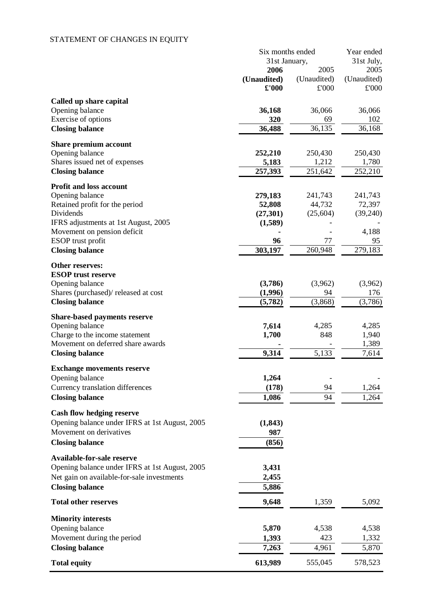## STATEMENT OF CHANGES IN EQUITY

|                                                        | Six months ended |                      | Year ended  |  |
|--------------------------------------------------------|------------------|----------------------|-------------|--|
|                                                        | 31st January,    |                      | 31st July,  |  |
|                                                        | 2006             | 2005                 | 2005        |  |
|                                                        | (Unaudited)      | (Unaudited)<br>£'000 | (Unaudited) |  |
|                                                        | $\pounds 000$    |                      | £'000       |  |
| Called up share capital                                |                  |                      |             |  |
| Opening balance                                        | 36,168           | 36,066               | 36,066      |  |
| Exercise of options                                    | 320              | 69                   | 102         |  |
| <b>Closing balance</b>                                 | 36,488           | 36,135               | 36,168      |  |
| Share premium account                                  |                  |                      |             |  |
| Opening balance                                        | 252,210          | 250,430              | 250,430     |  |
| Shares issued net of expenses                          | 5,183            | 1,212                | 1,780       |  |
| <b>Closing balance</b>                                 | 257,393          | 251,642              | 252,210     |  |
| <b>Profit and loss account</b>                         |                  |                      |             |  |
| Opening balance                                        | 279,183          | 241,743              | 241,743     |  |
| Retained profit for the period                         | 52,808           | 44,732               | 72,397      |  |
| Dividends                                              | (27, 301)        | (25, 604)            | (39,240)    |  |
| IFRS adjustments at 1st August, 2005                   | (1,589)          |                      |             |  |
| Movement on pension deficit                            |                  |                      | 4,188       |  |
| ESOP trust profit                                      | 96               | 77                   | 95          |  |
| <b>Closing balance</b>                                 | 303,197          | 260,948              | 279,183     |  |
| Other reserves:                                        |                  |                      |             |  |
| <b>ESOP</b> trust reserve                              |                  |                      |             |  |
| Opening balance                                        | (3,786)          | (3,962)              | (3,962)     |  |
| Shares (purchased)/ released at cost                   | (1,996)          | 94                   | 176         |  |
| <b>Closing balance</b>                                 | (5,782)          | (3,868)              | (3,786)     |  |
|                                                        |                  |                      |             |  |
| <b>Share-based payments reserve</b><br>Opening balance | 7,614            | 4,285                | 4,285       |  |
| Charge to the income statement                         | 1,700            | 848                  | 1,940       |  |
| Movement on deferred share awards                      |                  |                      | 1,389       |  |
| <b>Closing balance</b>                                 | 9,314            | 5,133                | 7,614       |  |
|                                                        |                  |                      |             |  |
| <b>Exchange movements reserve</b>                      |                  |                      |             |  |
| Opening balance                                        | 1,264            |                      |             |  |
| Currency translation differences                       | (178)            | 94                   | 1,264       |  |
| <b>Closing balance</b>                                 | 1,086            | 94                   | 1,264       |  |
| <b>Cash flow hedging reserve</b>                       |                  |                      |             |  |
| Opening balance under IFRS at 1st August, 2005         | (1, 843)         |                      |             |  |
| Movement on derivatives                                | 987              |                      |             |  |
| <b>Closing balance</b>                                 | (856)            |                      |             |  |
| <b>Available-for-sale reserve</b>                      |                  |                      |             |  |
| Opening balance under IFRS at 1st August, 2005         | 3,431            |                      |             |  |
| Net gain on available-for-sale investments             | 2,455            |                      |             |  |
| <b>Closing balance</b>                                 | 5,886            |                      |             |  |
|                                                        |                  |                      |             |  |
| <b>Total other reserves</b>                            | 9,648            | 1,359                | 5,092       |  |
| <b>Minority interests</b>                              |                  |                      |             |  |
| Opening balance                                        | 5,870            | 4,538                | 4,538       |  |
| Movement during the period                             | 1,393            | 423                  | 1,332       |  |
| <b>Closing balance</b>                                 | 7,263            | 4,961                | 5,870       |  |
|                                                        | 613,989          |                      |             |  |
| <b>Total equity</b>                                    |                  | 555,045              | 578,523     |  |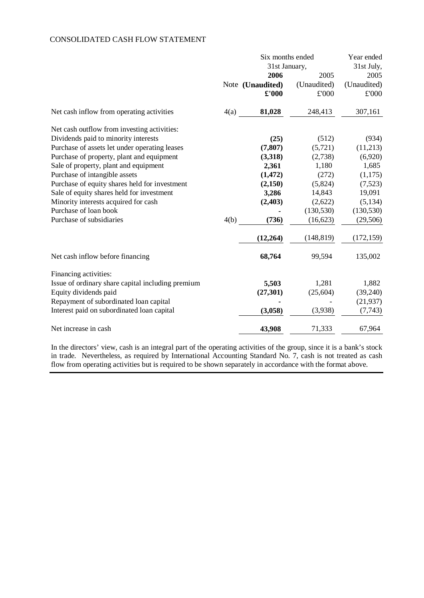## CONSOLIDATED CASH FLOW STATEMENT

|                                                   |      | Six months ended<br>31st January, |                              |                                            |
|---------------------------------------------------|------|-----------------------------------|------------------------------|--------------------------------------------|
|                                                   |      | 2006<br>Note (Unaudited)<br>£'000 | 2005<br>(Unaudited)<br>£'000 | 31st July,<br>2005<br>(Unaudited)<br>£'000 |
| Net cash inflow from operating activities         | 4(a) | 81,028                            | 248,413                      | 307,161                                    |
| Net cash outflow from investing activities:       |      |                                   |                              |                                            |
| Dividends paid to minority interests              |      | (25)                              | (512)                        | (934)                                      |
| Purchase of assets let under operating leases     |      | (7, 807)                          | (5,721)                      | (11,213)                                   |
| Purchase of property, plant and equipment         |      | (3,318)                           | (2,738)                      | (6,920)                                    |
| Sale of property, plant and equipment             |      | 2,361                             | 1,180                        | 1,685                                      |
| Purchase of intangible assets                     |      | (1, 472)                          | (272)                        | (1,175)                                    |
| Purchase of equity shares held for investment     |      | (2,150)                           | (5,824)                      | (7,523)                                    |
| Sale of equity shares held for investment         |      | 3,286                             | 14,843                       | 19,091                                     |
| Minority interests acquired for cash              |      | (2, 403)                          | (2,622)                      | (5, 134)                                   |
| Purchase of loan book                             |      |                                   | (130, 530)                   | (130, 530)                                 |
| Purchase of subsidiaries                          | 4(b) | (736)                             | (16,623)                     | (29, 506)                                  |
|                                                   |      | (12,264)                          | (148, 819)                   | (172, 159)                                 |
| Net cash inflow before financing                  |      | 68,764                            | 99,594                       | 135,002                                    |
| Financing activities:                             |      |                                   |                              |                                            |
| Issue of ordinary share capital including premium |      | 5,503                             | 1,281                        | 1,882                                      |
| Equity dividends paid                             |      | (27,301)                          | (25,604)                     | (39,240)                                   |
| Repayment of subordinated loan capital            |      |                                   |                              | (21, 937)                                  |
| Interest paid on subordinated loan capital        |      | (3,058)                           | (3,938)                      | (7, 743)                                   |
| Net increase in cash                              |      | 43,908                            | 71,333                       | 67,964                                     |

In the directors' view, cash is an integral part of the operating activities of the group, since it is a bank's stock in trade. Nevertheless, as required by International Accounting Standard No. 7, cash is not treated as cash flow from operating activities but is required to be shown separately in accordance with the format above.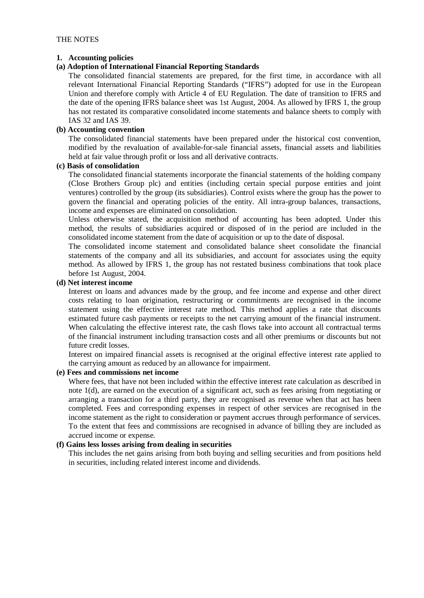#### **1. Accounting policies**

#### **(a) Adoption of International Financial Reporting Standards**

The consolidated financial statements are prepared, for the first time, in accordance with all relevant International Financial Reporting Standards ("IFRS") adopted for use in the European Union and therefore comply with Article 4 of EU Regulation. The date of transition to IFRS and the date of the opening IFRS balance sheet was 1st August, 2004. As allowed by IFRS 1, the group has not restated its comparative consolidated income statements and balance sheets to comply with IAS 32 and IAS 39.

#### **(b) Accounting convention**

The consolidated financial statements have been prepared under the historical cost convention, modified by the revaluation of available-for-sale financial assets, financial assets and liabilities held at fair value through profit or loss and all derivative contracts.

#### **(c) Basis of consolidation**

The consolidated financial statements incorporate the financial statements of the holding company (Close Brothers Group plc) and entities (including certain special purpose entities and joint ventures) controlled by the group (its subsidiaries). Control exists where the group has the power to govern the financial and operating policies of the entity. All intra-group balances, transactions, income and expenses are eliminated on consolidation.

Unless otherwise stated, the acquisition method of accounting has been adopted. Under this method, the results of subsidiaries acquired or disposed of in the period are included in the consolidated income statement from the date of acquisition or up to the date of disposal.

The consolidated income statement and consolidated balance sheet consolidate the financial statements of the company and all its subsidiaries, and account for associates using the equity method. As allowed by IFRS 1, the group has not restated business combinations that took place before 1st August, 2004.

#### **(d) Net interest income**

Interest on loans and advances made by the group, and fee income and expense and other direct costs relating to loan origination, restructuring or commitments are recognised in the income statement using the effective interest rate method. This method applies a rate that discounts estimated future cash payments or receipts to the net carrying amount of the financial instrument. When calculating the effective interest rate, the cash flows take into account all contractual terms of the financial instrument including transaction costs and all other premiums or discounts but not future credit losses.

Interest on impaired financial assets is recognised at the original effective interest rate applied to the carrying amount as reduced by an allowance for impairment.

### **(e) Fees and commissions net income**

Where fees, that have not been included within the effective interest rate calculation as described in note 1(d), are earned on the execution of a significant act, such as fees arising from negotiating or arranging a transaction for a third party, they are recognised as revenue when that act has been completed. Fees and corresponding expenses in respect of other services are recognised in the income statement as the right to consideration or payment accrues through performance of services. To the extent that fees and commissions are recognised in advance of billing they are included as accrued income or expense.

#### **(f) Gains less losses arising from dealing in securities**

This includes the net gains arising from both buying and selling securities and from positions held in securities, including related interest income and dividends.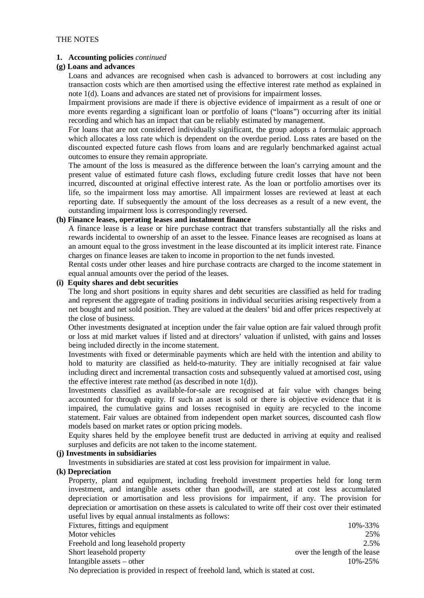#### **1. Accounting policies** *continued*

#### **(g) Loans and advances**

Loans and advances are recognised when cash is advanced to borrowers at cost including any transaction costs which are then amortised using the effective interest rate method as explained in note 1(d). Loans and advances are stated net of provisions for impairment losses.

Impairment provisions are made if there is objective evidence of impairment as a result of one or more events regarding a significant loan or portfolio of loans ("loans") occurring after its initial recording and which has an impact that can be reliably estimated by management.

For loans that are not considered individually significant, the group adopts a formulaic approach which allocates a loss rate which is dependent on the overdue period. Loss rates are based on the discounted expected future cash flows from loans and are regularly benchmarked against actual outcomes to ensure they remain appropriate.

The amount of the loss is measured as the difference between the loan's carrying amount and the present value of estimated future cash flows, excluding future credit losses that have not been incurred, discounted at original effective interest rate. As the loan or portfolio amortises over its life, so the impairment loss may amortise. All impairment losses are reviewed at least at each reporting date. If subsequently the amount of the loss decreases as a result of a new event, the outstanding impairment loss is correspondingly reversed.

#### **(h) Finance leases, operating leases and instalment finance**

A finance lease is a lease or hire purchase contract that transfers substantially all the risks and rewards incidental to ownership of an asset to the lessee. Finance leases are recognised as loans at an amount equal to the gross investment in the lease discounted at its implicit interest rate. Finance charges on finance leases are taken to income in proportion to the net funds invested.

Rental costs under other leases and hire purchase contracts are charged to the income statement in equal annual amounts over the period of the leases.

#### **(i) Equity shares and debt securities**

The long and short positions in equity shares and debt securities are classified as held for trading and represent the aggregate of trading positions in individual securities arising respectively from a net bought and net sold position. They are valued at the dealers' bid and offer prices respectively at the close of business.

Other investments designated at inception under the fair value option are fair valued through profit or loss at mid market values if listed and at directors' valuation if unlisted, with gains and losses being included directly in the income statement.

Investments with fixed or determinable payments which are held with the intention and ability to hold to maturity are classified as held-to-maturity. They are initially recognised at fair value including direct and incremental transaction costs and subsequently valued at amortised cost, using the effective interest rate method (as described in note  $1(d)$ ).

Investments classified as available-for-sale are recognised at fair value with changes being accounted for through equity. If such an asset is sold or there is objective evidence that it is impaired, the cumulative gains and losses recognised in equity are recycled to the income statement. Fair values are obtained from independent open market sources, discounted cash flow models based on market rates or option pricing models.

Equity shares held by the employee benefit trust are deducted in arriving at equity and realised surpluses and deficits are not taken to the income statement.

#### **(j) Investments in subsidiaries**

Investments in subsidiaries are stated at cost less provision for impairment in value.

#### **(k) Depreciation**

Property, plant and equipment, including freehold investment properties held for long term investment, and intangible assets other than goodwill, are stated at cost less accumulated depreciation or amortisation and less provisions for impairment, if any. The provision for depreciation or amortisation on these assets is calculated to write off their cost over their estimated useful lives by equal annual instalments as follows:

| Fixtures, fittings and equipment                                                  | 10%-33%                      |  |  |  |  |
|-----------------------------------------------------------------------------------|------------------------------|--|--|--|--|
| Motor vehicles                                                                    | 25%                          |  |  |  |  |
| Freehold and long leasehold property                                              | 2.5%                         |  |  |  |  |
| Short leasehold property                                                          | over the length of the lease |  |  |  |  |
| Intangible assets $-$ other                                                       | $10\% - 25\%$                |  |  |  |  |
| No depreciation is provided in respect of freehold land, which is stated at cost. |                              |  |  |  |  |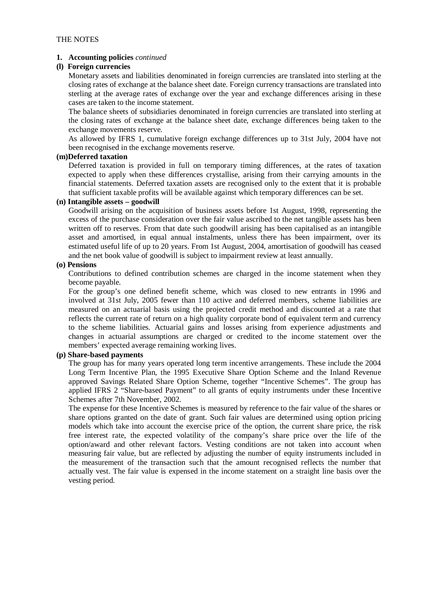#### **1. Accounting policies** *continued*

#### **(l) Foreign currencies**

Monetary assets and liabilities denominated in foreign currencies are translated into sterling at the closing rates of exchange at the balance sheet date. Foreign currency transactions are translated into sterling at the average rates of exchange over the year and exchange differences arising in these cases are taken to the income statement.

The balance sheets of subsidiaries denominated in foreign currencies are translated into sterling at the closing rates of exchange at the balance sheet date, exchange differences being taken to the exchange movements reserve.

As allowed by IFRS 1, cumulative foreign exchange differences up to 31st July, 2004 have not been recognised in the exchange movements reserve.

#### **(m)Deferred taxation**

Deferred taxation is provided in full on temporary timing differences, at the rates of taxation expected to apply when these differences crystallise, arising from their carrying amounts in the financial statements. Deferred taxation assets are recognised only to the extent that it is probable that sufficient taxable profits will be available against which temporary differences can be set.

#### **(n) Intangible assets – goodwill**

Goodwill arising on the acquisition of business assets before 1st August, 1998, representing the excess of the purchase consideration over the fair value ascribed to the net tangible assets has been written off to reserves. From that date such goodwill arising has been capitalised as an intangible asset and amortised, in equal annual instalments, unless there has been impairment, over its estimated useful life of up to 20 years. From 1st August, 2004, amortisation of goodwill has ceased and the net book value of goodwill is subject to impairment review at least annually.

#### **(o) Pensions**

Contributions to defined contribution schemes are charged in the income statement when they become payable.

For the group's one defined benefit scheme, which was closed to new entrants in 1996 and involved at 31st July, 2005 fewer than 110 active and deferred members, scheme liabilities are measured on an actuarial basis using the projected credit method and discounted at a rate that reflects the current rate of return on a high quality corporate bond of equivalent term and currency to the scheme liabilities. Actuarial gains and losses arising from experience adjustments and changes in actuarial assumptions are charged or credited to the income statement over the members' expected average remaining working lives.

#### **(p) Share-based payments**

The group has for many years operated long term incentive arrangements. These include the 2004 Long Term Incentive Plan, the 1995 Executive Share Option Scheme and the Inland Revenue approved Savings Related Share Option Scheme, together "Incentive Schemes". The group has applied IFRS 2 "Share-based Payment" to all grants of equity instruments under these Incentive Schemes after 7th November, 2002.

The expense for these Incentive Schemes is measured by reference to the fair value of the shares or share options granted on the date of grant. Such fair values are determined using option pricing models which take into account the exercise price of the option, the current share price, the risk free interest rate, the expected volatility of the company's share price over the life of the option/award and other relevant factors. Vesting conditions are not taken into account when measuring fair value, but are reflected by adjusting the number of equity instruments included in the measurement of the transaction such that the amount recognised reflects the number that actually vest. The fair value is expensed in the income statement on a straight line basis over the vesting period.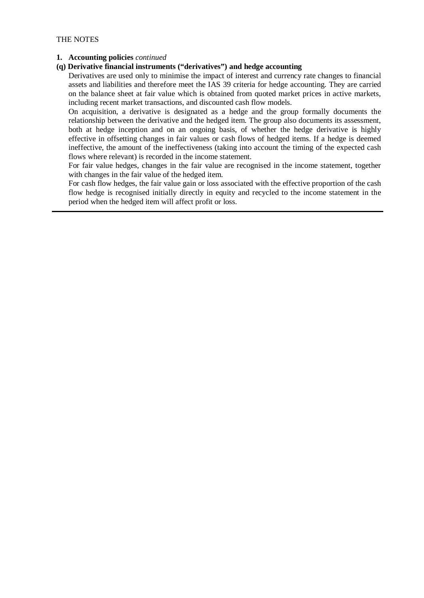#### **1. Accounting policies** *continued*

#### **(q) Derivative financial instruments ("derivatives") and hedge accounting**

Derivatives are used only to minimise the impact of interest and currency rate changes to financial assets and liabilities and therefore meet the IAS 39 criteria for hedge accounting. They are carried on the balance sheet at fair value which is obtained from quoted market prices in active markets, including recent market transactions, and discounted cash flow models.

On acquisition, a derivative is designated as a hedge and the group formally documents the relationship between the derivative and the hedged item. The group also documents its assessment, both at hedge inception and on an ongoing basis, of whether the hedge derivative is highly effective in offsetting changes in fair values or cash flows of hedged items. If a hedge is deemed ineffective, the amount of the ineffectiveness (taking into account the timing of the expected cash flows where relevant) is recorded in the income statement.

For fair value hedges, changes in the fair value are recognised in the income statement, together with changes in the fair value of the hedged item.

For cash flow hedges, the fair value gain or loss associated with the effective proportion of the cash flow hedge is recognised initially directly in equity and recycled to the income statement in the period when the hedged item will affect profit or loss.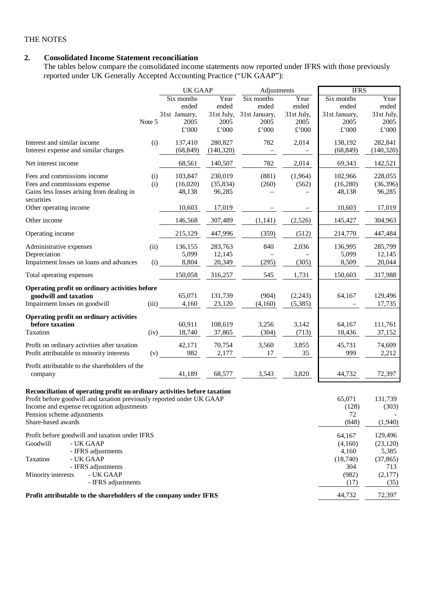## **2. Consolidated Income Statement reconciliation**

The tables below compare the consolidated income statements now reported under IFRS with those previously reported under UK Generally Accepted Accounting Practice ("UK GAAP"):

|                                                                                                                                                    |        | <b>UK GAAP</b> |                 | Adjustments   |             | <b>IFRS</b>   |            |
|----------------------------------------------------------------------------------------------------------------------------------------------------|--------|----------------|-----------------|---------------|-------------|---------------|------------|
|                                                                                                                                                    |        | Six months     | Year            | Six months    | Year        | Six months    | Year       |
|                                                                                                                                                    |        | ended          | ended           | ended         | ended       | ended         | ended      |
|                                                                                                                                                    |        | 31st January,  | 31st July,      | 31st January, | 31st July,  | 31st January, | 31st July, |
|                                                                                                                                                    | Note 5 | 2005           | 2005            | 2005          | 2005        | 2005          | 2005       |
|                                                                                                                                                    |        | $\pounds$ 000  | $\pounds$ '000  | £'000         | £'000       | £'000         | £'000      |
| Interest and similar income                                                                                                                        | (i)    | 137,410        | 280,827         | 782           | 2,014       | 138,192       | 282,841    |
| Interest expense and similar charges                                                                                                               |        | (68, 849)      | (140, 320)      |               |             | (68, 849)     | (140, 320) |
| Net interest income                                                                                                                                |        | 68,561         | 140,507         | 782           | 2,014       | 69,343        | 142,521    |
| Fees and commissions income                                                                                                                        | (i)    | 103,847        | 230,019         | (881)         | (1,964)     | 102,966       | 228,055    |
| Fees and commissions expense                                                                                                                       | (i)    | (16,020)       | (35, 834)       | (260)         | (562)       | (16, 280)     | (36, 396)  |
| Gains less losses arising from dealing in                                                                                                          |        | 48,138         | 96,285          |               |             | 48,138        | 96,285     |
| securities                                                                                                                                         |        |                |                 |               |             |               |            |
| Other operating income                                                                                                                             |        | 10,603         | 17,019          |               |             | 10,603        | 17,019     |
| Other income                                                                                                                                       |        | 146,568        | 307,489         | (1,141)       | (2,526)     | 145,427       | 304,963    |
| Operating income                                                                                                                                   |        | 215,129        | 447,996         | (359)         | (512)       | 214,770       | 447,484    |
| Administrative expenses                                                                                                                            | (ii)   | 136,155        | 283,763         | 840           | 2,036       | 136,995       | 285,799    |
| Depreciation                                                                                                                                       |        | 5,099          | 12,145          |               |             | 5,099         | 12,145     |
| Impairment losses on loans and advances                                                                                                            | (i)    | 8,804          | 20,349          | (295)         | (305)       | 8,509         | 20,044     |
|                                                                                                                                                    |        |                |                 |               |             |               |            |
| Total operating expenses                                                                                                                           |        | 150,058        | 316,257         | 545           | 1,731       | 150,603       | 317,988    |
| Operating profit on ordinary activities before                                                                                                     |        |                |                 |               |             |               |            |
| goodwill and taxation                                                                                                                              |        | 65,071         | 131,739         | (904)         | (2,243)     | 64,167        | 129,496    |
| Impairment losses on goodwill                                                                                                                      | (iii)  | 4,160          | 23,120          | (4,160)       | (5, 385)    |               | 17,735     |
| <b>Operating profit on ordinary activities</b>                                                                                                     |        |                |                 |               |             |               |            |
| before taxation                                                                                                                                    |        | 60,911         | 108,619         | 3,256         | 3,142       | 64,167        | 111,761    |
| Taxation                                                                                                                                           | (iv)   | 18,740         | 37,865          | (304)         | (713)       | 18,436        | 37,152     |
|                                                                                                                                                    |        |                |                 | 3,560         |             | 45,731        | 74,609     |
| Profit on ordinary activities after taxation<br>Profit attributable to minority interests                                                          |        | 42,171<br>982  | 70,754<br>2,177 |               | 3,855<br>35 | 999           |            |
|                                                                                                                                                    | (v)    |                |                 | 17            |             |               | 2,212      |
| Profit attributable to the shareholders of the                                                                                                     |        |                |                 |               |             |               |            |
| company                                                                                                                                            |        | 41,189         | 68,577          | 3,543         | 3,820       | 44,732        | 72,397     |
|                                                                                                                                                    |        |                |                 |               |             |               |            |
| Reconciliation of operating profit on ordinary activities before taxation<br>Profit before goodwill and taxation previously reported under UK GAAP |        |                |                 |               |             | 65,071        | 131,739    |
|                                                                                                                                                    |        |                |                 |               |             |               |            |
| Income and expense recognition adjustments<br>Pension scheme adjustments                                                                           |        |                |                 |               |             | (128)<br>72   | (303)      |
| Share-based awards                                                                                                                                 |        |                |                 |               |             | (848)         | (1,940)    |
|                                                                                                                                                    |        |                |                 |               |             |               |            |
| Profit before goodwill and taxation under IFRS                                                                                                     |        |                |                 |               |             | 64,167        | 129,496    |
| Goodwill<br>- UK GAAP                                                                                                                              |        |                |                 |               |             | (4,160)       | (23, 120)  |
| - IFRS adjustments                                                                                                                                 |        |                |                 |               |             | 4,160         | 5,385      |
| Taxation<br>- UK GAAP                                                                                                                              |        |                |                 |               |             | (18,740)      | (37, 865)  |
| - IFRS adjustments                                                                                                                                 |        |                |                 |               |             | 304           | 713        |
| - UK GAAP<br>Minority interests                                                                                                                    |        |                |                 |               |             | (982)         | (2,177)    |
| - IFRS adjustments                                                                                                                                 |        |                |                 |               |             | (17)          | (35)       |
| Profit attributable to the shareholders of the company under IFRS                                                                                  |        |                |                 |               |             | 44,732        | 72,397     |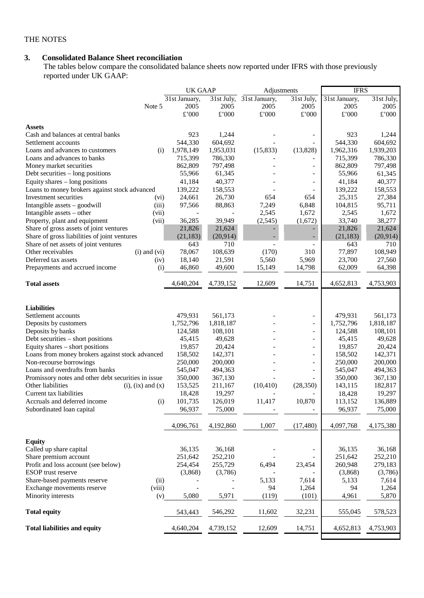#### **3. Consolidated Balance Sheet reconciliation**

The tables below compare the consolidated balance sheets now reported under IFRS with those previously reported under UK GAAP:

|                                                                  | <b>UK GAAP</b>    |                   | Adjustments     |                              | <b>IFRS</b>       |                  |
|------------------------------------------------------------------|-------------------|-------------------|-----------------|------------------------------|-------------------|------------------|
|                                                                  | 31st January,     | 31st July,        | 31st January,   | 31st July,                   | 31st January,     | 31st July,       |
| Note 5                                                           | 2005              | 2005              | 2005            | 2005                         | 2005              | 2005             |
|                                                                  | £'000             | $\pounds$ 000     | $\pounds$ 000   | £'000                        | £'000             | £'000            |
| <b>Assets</b>                                                    |                   |                   |                 |                              |                   |                  |
| Cash and balances at central banks                               | 923               | 1,244             |                 |                              | 923               | 1,244            |
| Settlement accounts                                              | 544,330           | 604,692           |                 |                              | 544,330           | 604,692          |
| Loans and advances to customers<br>(i)                           | 1,978,149         | 1,953,031         | (15, 833)       | (13,828)                     | 1,962,316         | 1,939,203        |
| Loans and advances to banks                                      | 715,399           | 786,330           |                 |                              | 715,399           | 786,330          |
| Money market securities                                          | 862,809           | 797,498           |                 |                              | 862,809           | 797,498          |
| Debt securities – long positions                                 | 55,966            | 61,345            |                 | $\overline{a}$               | 55,966            | 61,345           |
| Equity shares – long positions                                   | 41,184            | 40,377            |                 |                              | 41,184            | 40,377           |
| Loans to money brokers against stock advanced                    | 139,222           | 158,553           |                 | $\overline{a}$               | 139,222           | 158,553          |
| Investment securities<br>(vi)                                    | 24,661            | 26,730            | 654             | 654                          | 25,315            | 27,384           |
| Intangible assets - goodwill<br>(iii)                            | 97,566            | 88,863            | 7,249           | 6,848                        | 104,815           | 95,711           |
| Intangible assets - other<br>(vii)                               |                   |                   | 2,545           | 1,672                        | 2,545             | 1,672            |
| Property, plant and equipment<br>(vii)                           | 36,285            | 39,949            | (2,545)         | (1,672)                      | 33,740            | 38,277           |
| Share of gross assets of joint ventures                          | 21,826            | 21,624            |                 |                              | 21,826            | 21,624           |
| Share of gross liabilities of joint ventures                     | (21, 183)         | (20,914)          |                 | $\qquad \qquad \blacksquare$ | (21, 183)         | (20, 914)        |
| Share of net assets of joint ventures                            | 643               | 710               |                 |                              | 643               | 710              |
| Other receivables<br>$(i)$ and $(vi)$<br>Deferred tax assets     | 78,067<br>18,140  | 108,639<br>21,591 | (170)           | 310<br>5,969                 | 77,897<br>23,700  | 108,949          |
| (iv)<br>Prepayments and accrued income<br>(i)                    | 46,860            | 49,600            | 5,560<br>15,149 | 14,798                       | 62,009            | 27,560<br>64,398 |
|                                                                  |                   |                   |                 |                              |                   |                  |
| <b>Total assets</b>                                              | 4,640,204         | 4,739,152         | 12,609          | 14,751                       | 4,652,813         | 4,753,903        |
|                                                                  |                   |                   |                 |                              |                   |                  |
| <b>Liabilities</b>                                               |                   |                   |                 |                              |                   |                  |
| Settlement accounts                                              | 479,931           | 561,173           |                 | $\overline{\phantom{0}}$     | 479,931           | 561,173          |
| Deposits by customers                                            | 1,752,796         | 1,818,187         |                 | $\qquad \qquad \blacksquare$ | 1,752,796         | 1,818,187        |
| Deposits by banks                                                | 124,588           | 108,101           |                 | $\overline{\phantom{a}}$     | 124,588           | 108,101          |
| Debt securities – short positions                                | 45,415            | 49,628            |                 | $\overline{\phantom{a}}$     | 45,415            | 49,628           |
| Equity shares - short positions                                  | 19,857            | 20,424            |                 | $\overline{\phantom{0}}$     | 19,857            | 20,424           |
| Loans from money brokers against stock advanced                  | 158,502           | 142,371           |                 |                              | 158,502           | 142,371          |
| Non-recourse borrowings                                          | 250,000           | 200,000           |                 | $\overline{a}$               | 250,000           | 200,000          |
| Loans and overdrafts from banks                                  | 545,047           | 494,363           |                 | $\overline{a}$               | 545,047           | 494,363          |
| Promissory notes and other debt securities in issue              | 350,000           | 367,130           |                 |                              | 350,000           | 367,130          |
| Other liabilities<br>$(i)$ , $(ix)$ and $(x)$                    | 153,525           | 211,167           | (10, 410)       | (28, 350)                    | 143,115           | 182,817          |
| Current tax liabilities                                          | 18,428            | 19,297            |                 |                              | 18,428            | 19,297           |
| Accruals and deferred income<br>(i)<br>Subordinated loan capital | 101,735<br>96,937 | 126,019<br>75,000 | 11,417          | 10,870                       | 113,152<br>96,937 | 136,889          |
|                                                                  |                   |                   |                 |                              |                   | 75,000           |
|                                                                  | 4,096,761         | 4,192,860         | 1,007           | (17, 480)                    | 4,097,768         | 4,175,380        |
|                                                                  |                   |                   |                 |                              |                   |                  |
| <b>Equity</b>                                                    |                   |                   |                 |                              |                   |                  |
| Called up share capital                                          | 36,135            | 36,168            |                 |                              | 36,135            | 36,168           |
| Share premium account                                            | 251,642           | 252,210           |                 |                              | 251,642           | 252,210          |
| Profit and loss account (see below)                              | 254,454           | 255,729           | 6,494           | 23,454                       | 260,948           | 279,183          |
| <b>ESOP</b> trust reserve<br>Share-based payments reserve        | (3,868)           | (3,786)           | 5,133           | 7,614                        | (3,868)<br>5,133  | (3,786)<br>7,614 |
| (ii)<br>Exchange movements reserve<br>(viii)                     |                   |                   | 94              | 1,264                        | 94                | 1,264            |
| Minority interests<br>(v)                                        | 5,080             | 5,971             | (119)           | (101)                        | 4,961             | 5,870            |
|                                                                  |                   |                   |                 |                              |                   |                  |
| <b>Total equity</b>                                              | 543,443           | 546,292           | 11,602          | 32,231                       | 555,045           | 578,523          |
| <b>Total liabilities and equity</b>                              | 4,640,204         | 4,739,152         | 12,609          | 14,751                       | 4,652,813         | 4,753,903        |
|                                                                  |                   |                   |                 |                              |                   |                  |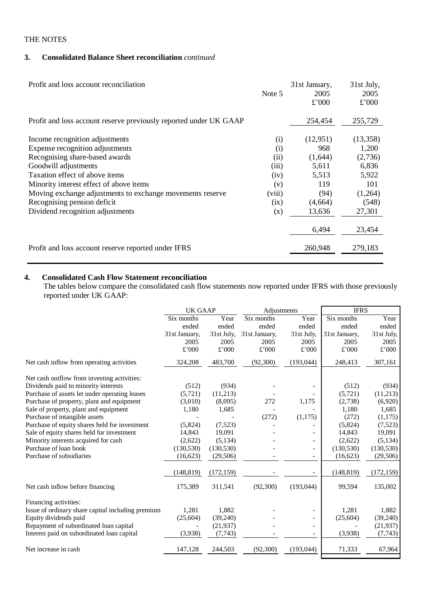## **3. Consolidated Balance Sheet reconciliation** *continued*

| Profit and loss account reconciliation                            | Note 5 | 31st January,<br>2005<br>£'000 | 31st July,<br>2005<br>£'000 |
|-------------------------------------------------------------------|--------|--------------------------------|-----------------------------|
| Profit and loss account reserve previously reported under UK GAAP |        | 254,454                        | 255,729                     |
| Income recognition adjustments                                    | (i)    | (12,951)                       | (13,358)                    |
| Expense recognition adjustments                                   | (i)    | 968                            | 1,200                       |
| Recognising share-based awards                                    | (ii)   | (1,644)                        | (2,736)                     |
| Goodwill adjustments                                              | (iii)  | 5,611                          | 6,836                       |
| Taxation effect of above items                                    | (iv)   | 5,513                          | 5,922                       |
| Minority interest effect of above items                           | (v)    | 119                            | 101                         |
| Moving exchange adjustments to exchange movements reserve         | (viii) | (94)                           | (1,264)                     |
| Recognising pension deficit                                       | (ix)   | (4,664)                        | (548)                       |
| Dividend recognition adjustments                                  | (x)    | 13,636                         | 27,301                      |
|                                                                   |        | 6,494                          | 23,454                      |
| Profit and loss account reserve reported under IFRS               |        | 260,948                        | 279,183                     |

#### **4. Consolidated Cash Flow Statement reconciliation**

The tables below compare the consolidated cash flow statements now reported under IFRS with those previously reported under UK GAAP:

|                                                   | <b>UK GAAP</b> |            | Adjustments              |                          | <b>IFRS</b>   |            |
|---------------------------------------------------|----------------|------------|--------------------------|--------------------------|---------------|------------|
|                                                   | Six months     | Year       | $\overline{Si}$ x months | Year                     | Six months    | Year       |
|                                                   | ended          | ended      | ended                    | ended                    | ended         | ended      |
|                                                   | 31st January,  | 31st July, | 31st January,            | 31st July,               | 31st January, | 31st July, |
|                                                   | 2005           | 2005       | 2005                     | 2005                     | 2005          | 2005       |
|                                                   | £'000          | £'000      | £'000                    | $\pounds$ 000            | £'000         | £'000      |
| Net cash inflow from operating activities         | 324,208        | 483,700    | (92, 300)                | (193, 044)               | 248,413       | 307,161    |
| Net cash outflow from investing activities:       |                |            |                          |                          |               |            |
| Dividends paid to minority interests              | (512)          | (934)      |                          |                          | (512)         | (934)      |
| Purchase of assets let under operating leases     | (5,721)        | (11,213)   |                          |                          | (5,721)       | (11,213)   |
| Purchase of property, plant and equipment         | (3,010)        | (8,095)    | 272                      | 1,175                    | (2,738)       | (6,920)    |
| Sale of property, plant and equipment             | 1,180          | 1,685      |                          |                          | 1,180         | 1,685      |
| Purchase of intangible assets                     |                |            | (272)                    | (1,175)                  | (272)         | (1,175)    |
| Purchase of equity shares held for investment     | (5,824)        | (7,523)    |                          |                          | (5,824)       | (7,523)    |
| Sale of equity shares held for investment         | 14,843         | 19,091     |                          |                          | 14,843        | 19,091     |
| Minority interests acquired for cash              | (2,622)        | (5, 134)   |                          | $\overline{\phantom{a}}$ | (2,622)       | (5, 134)   |
| Purchase of loan book                             | (130, 530)     | (130, 530) |                          | $\overline{\phantom{a}}$ | (130, 530)    | (130, 530) |
| Purchase of subsidiaries                          | (16,623)       | (29,506)   |                          | $\blacksquare$           | (16,623)      | (29, 506)  |
|                                                   | (148, 819)     | (172, 159) |                          |                          | (148, 819)    | (172, 159) |
| Net cash inflow before financing                  | 175,389        | 311,541    | (92, 300)                | (193, 044)               | 99,594        | 135,002    |
| Financing activities:                             |                |            |                          |                          |               |            |
| Issue of ordinary share capital including premium | 1,281          | 1,882      |                          |                          | 1,281         | 1,882      |
| Equity dividends paid                             | (25, 604)      | (39,240)   |                          |                          | (25, 604)     | (39,240)   |
| Repayment of subordinated loan capital            |                | (21,937)   |                          | $\overline{\phantom{a}}$ |               | (21, 937)  |
| Interest paid on subordinated loan capital        | (3,938)        | (7, 743)   |                          |                          | (3,938)       | (7, 743)   |
|                                                   |                |            |                          |                          |               |            |
| Net increase in cash                              | 147,128        | 244,503    | (92, 300)                | (193, 044)               | 71,333        | 67,964     |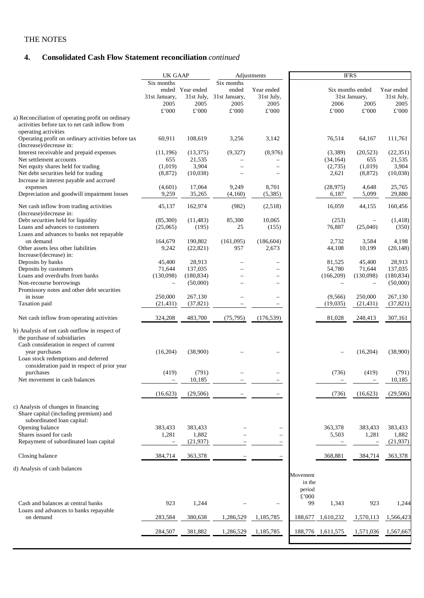## **4. Consolidated Cash Flow Statement reconciliation** *continued*

|                                                                                                            | UK GAAP<br>Adjustments   |                  |                | <b>IFRS</b>              |             |           |                   |            |
|------------------------------------------------------------------------------------------------------------|--------------------------|------------------|----------------|--------------------------|-------------|-----------|-------------------|------------|
|                                                                                                            | Six months               |                  | Six months     |                          |             |           |                   |            |
|                                                                                                            |                          | ended Year ended | ended          | Year ended               |             |           | Six months ended  | Year ended |
|                                                                                                            | 31st January,            | 31st July,       | 31st January,  | 31st July,               |             |           | 31st January,     | 31st July, |
|                                                                                                            | 2005                     | 2005             | 2005           | 2005                     |             | 2006      | 2005              | 2005       |
|                                                                                                            | £'000                    | £'000            | £'000          | £'000                    |             | £'000     | £'000             | £'000      |
| a) Reconciliation of operating profit on ordinary<br>activities before tax to net cash inflow from         |                          |                  |                |                          |             |           |                   |            |
| operating activities<br>Operating profit on ordinary activities before tax<br>(Increase)/decrease in:      | 60,911                   | 108,619          | 3,256          | 3,142                    |             | 76,514    | 64,167            | 111,761    |
| Interest receivable and prepaid expenses                                                                   | (11,196)                 | (13, 375)        | (9,327)        | (8,976)                  |             | (3,389)   | (20, 523)         | (22, 351)  |
| Net settlement accounts                                                                                    | 655                      | 21,535           |                |                          |             | (34, 164) | 655               | 21,535     |
| Net equity shares held for trading                                                                         | (1,019)                  | 3,904            | $\overline{a}$ |                          |             | (2,735)   | (1,019)           | 3,904      |
| Net debt securities held for trading                                                                       | (8, 872)                 | (10,038)         |                | -                        |             | 2,621     | (8, 872)          | (10,038)   |
| Increase in interest payable and accrued                                                                   |                          |                  |                |                          |             |           |                   |            |
| expenses                                                                                                   | (4,601)                  | 17,064           | 9,249          | 8,701                    |             | (28, 975) | 4,648             | 25,765     |
| Depreciation and goodwill impairment losses                                                                | 9,259                    | 35,265           | (4,160)        | (5, 385)                 |             | 6,187     | 5,099             | 29,880     |
| Net cash inflow from trading activities<br>(Increase)/decrease in:                                         | 45,137                   | 162,974          | (982)          | (2,518)                  |             | 16,059    | 44,155            | 160,456    |
| Debt securities held for liquidity                                                                         | (85,300)                 | (11, 483)        | 85,300         | 10,065                   |             | (253)     |                   | (1, 418)   |
| Loans and advances to customers                                                                            | (25,065)                 | (195)            | 25             | (155)                    |             | 76,887    | (25,040)          | (350)      |
| Loans and advances to banks not repayable                                                                  |                          |                  |                |                          |             |           |                   |            |
| on demand                                                                                                  | 164,679                  | 190,802          | (161,095)      | (186, 604)               |             | 2,732     | 3,584             | 4,198      |
| Other assets less other liabilities                                                                        | 9,242                    | (22, 821)        | 957            | 2,673                    |             | 44,108    | 10,199            | (20, 148)  |
| Increase/(decrease) in:                                                                                    |                          |                  |                |                          |             |           |                   |            |
| Deposits by banks                                                                                          | 45,400                   | 28,913           |                |                          |             | 81,525    | 45,400            | 28,913     |
| Deposits by customers                                                                                      | 71,644                   | 137,035          |                |                          |             | 54,780    | 71,644            | 137,035    |
| Loans and overdrafts from banks                                                                            | (130,098)                | (180, 834)       |                | -                        |             | (166,209) | (130,098)         | (180, 834) |
| Non-recourse borrowings                                                                                    | $\overline{\phantom{0}}$ | (50,000)         |                | $\overline{\phantom{0}}$ |             |           | $\qquad \qquad -$ | (50,000)   |
| Promissory notes and other debt securities                                                                 |                          |                  |                |                          |             |           |                   |            |
| in issue                                                                                                   | 250,000                  | 267,130          |                |                          |             | (9,566)   | 250,000           | 267,130    |
| Taxation paid                                                                                              | (21, 431)                | (37, 821)        |                |                          |             | (19,035)  | (21, 431)         | (37, 821)  |
| Net cash inflow from operating activities                                                                  | 324,208                  | 483,700          | (75, 795)      | (176, 539)               |             | 81,028    | 248,413           | 307,161    |
|                                                                                                            |                          |                  |                |                          |             |           |                   |            |
| b) Analysis of net cash outflow in respect of                                                              |                          |                  |                |                          |             |           |                   |            |
| the purchase of subsidiaries                                                                               |                          |                  |                |                          |             |           |                   |            |
| Cash consideration in respect of current                                                                   |                          |                  |                |                          |             |           |                   |            |
| year purchases                                                                                             | (16,204)                 | (38,900)         |                |                          |             |           | (16,204)          | (38,900)   |
| Loan stock redemptions and deferred                                                                        |                          |                  |                |                          |             |           |                   |            |
| consideration paid in respect of prior year                                                                |                          |                  |                |                          |             |           |                   |            |
| purchases                                                                                                  | (419)                    | (791)            |                |                          |             | (736)     | (419)             | (791)      |
| Net movement in cash balances                                                                              |                          | 10,185           |                | $\overline{\phantom{0}}$ |             |           |                   | 10,185     |
|                                                                                                            | (16, 623)                | (29, 506)        |                |                          |             | (736)     | (16, 623)         | (29, 506)  |
| c) Analysis of changes in financing<br>Share capital (including premium) and<br>subordinated loan capital: |                          |                  |                |                          |             |           |                   |            |
| Opening balance                                                                                            | 383,433                  | 383,433          |                |                          |             | 363,378   | 383,433           | 383,433    |
| Shares issued for cash                                                                                     | 1,281                    | 1,882            |                |                          |             | 5,503     | 1,281             | 1,882      |
| Repayment of subordinated loan capital                                                                     | $\qquad \qquad -$        | (21, 937)        |                |                          |             |           | $\qquad \qquad -$ | (21, 937)  |
| Closing balance                                                                                            | 384,714                  | 363,378          |                |                          |             | 368,881   | 384,714           | 363,378    |
|                                                                                                            |                          |                  |                |                          |             |           |                   |            |
| d) Analysis of cash balances                                                                               |                          |                  |                |                          |             |           |                   |            |
|                                                                                                            |                          |                  |                |                          | Movement    |           |                   |            |
|                                                                                                            |                          |                  |                |                          | in the      |           |                   |            |
|                                                                                                            |                          |                  |                |                          | period      |           |                   |            |
| Cash and balances at central banks                                                                         | 923                      |                  |                |                          | £'000<br>99 | 1,343     | 923               | 1,244      |
|                                                                                                            |                          | 1,244            |                |                          |             |           |                   |            |
| Loans and advances to banks repayable<br>on demand                                                         | 283,584                  | 380,638          | 1,286,529      | 1,185,785                | 188,677     | 1,610,232 | 1,570,113         | 1,566,423  |
|                                                                                                            |                          |                  |                |                          |             |           |                   |            |
|                                                                                                            | 284,507                  | 381,882          | 1,286,529      | 1,185,785                | 188,776     | 1,611,575 | 1,571,036         | 1,567,667  |
|                                                                                                            |                          |                  |                |                          |             |           |                   |            |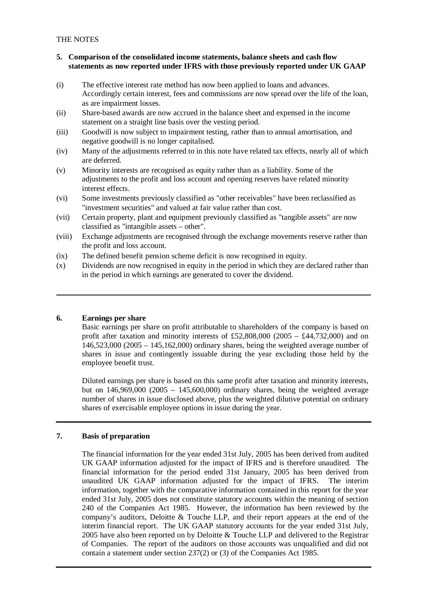#### **5. Comparison of the consolidated income statements, balance sheets and cash flow statements as now reported under IFRS with those previously reported under UK GAAP**

- (i) The effective interest rate method has now been applied to loans and advances. Accordingly certain interest, fees and commissions are now spread over the life of the loan, as are impairment losses.
- (ii) Share-based awards are now accrued in the balance sheet and expensed in the income statement on a straight line basis over the vesting period.
- (iii) Goodwill is now subject to impairment testing, rather than to annual amortisation, and negative goodwill is no longer capitalised.
- (iv) Many of the adjustments referred to in this note have related tax effects, nearly all of which are deferred.
- (v) Minority interests are recognised as equity rather than as a liability. Some of the adjustments to the profit and loss account and opening reserves have related minority interest effects.
- (vi) Some investments previously classified as "other receivables" have been reclassified as "investment securities" and valued at fair value rather than cost.
- (vii) Certain property, plant and equipment previously classified as "tangible assets" are now classified as "intangible assets – other".
- (viii) Exchange adjustments are recognised through the exchange movements reserve rather than the profit and loss account.
- (ix) The defined benefit pension scheme deficit is now recognised in equity.
- (x) Dividends are now recognised in equity in the period in which they are declared rather than in the period in which earnings are generated to cover the dividend.

### **6. Earnings per share**

Basic earnings per share on profit attributable to shareholders of the company is based on profit after taxation and minority interests of £52,808,000 (2005 – £44,732,000) and on 146,523,000 (2005 – 145,162,000) ordinary shares, being the weighted average number of shares in issue and contingently issuable during the year excluding those held by the employee benefit trust.

Diluted earnings per share is based on this same profit after taxation and minority interests, but on  $146,969,000$   $(2005 - 145,600,000)$  ordinary shares, being the weighted average number of shares in issue disclosed above, plus the weighted dilutive potential on ordinary shares of exercisable employee options in issue during the year.

### **7. Basis of preparation**

The financial information for the year ended 31st July, 2005 has been derived from audited UK GAAP information adjusted for the impact of IFRS and is therefore unaudited. The financial information for the period ended 31st January, 2005 has been derived from unaudited UK GAAP information adjusted for the impact of IFRS. The interim information, together with the comparative information contained in this report for the year ended 31st July, 2005 does not constitute statutory accounts within the meaning of section 240 of the Companies Act 1985. However, the information has been reviewed by the company's auditors, Deloitte & Touche LLP, and their report appears at the end of the interim financial report. The UK GAAP statutory accounts for the year ended 31st July, 2005 have also been reported on by Deloitte & Touche LLP and delivered to the Registrar of Companies. The report of the auditors on those accounts was unqualified and did not contain a statement under section 237(2) or (3) of the Companies Act 1985.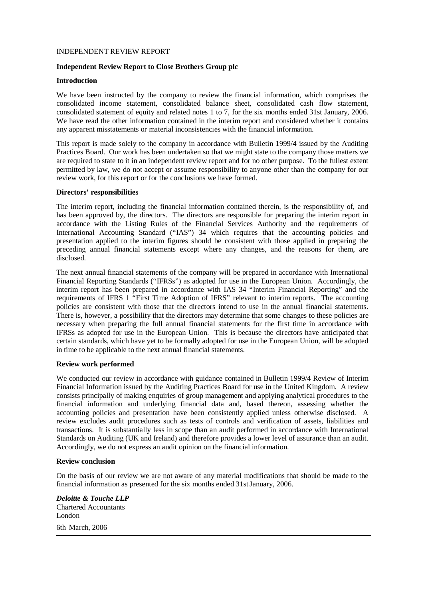#### INDEPENDENT REVIEW REPORT

#### **Independent Review Report to Close Brothers Group plc**

#### **Introduction**

We have been instructed by the company to review the financial information, which comprises the consolidated income statement, consolidated balance sheet, consolidated cash flow statement, consolidated statement of equity and related notes 1 to 7, for the six months ended 31st January, 2006. We have read the other information contained in the interim report and considered whether it contains any apparent misstatements or material inconsistencies with the financial information.

This report is made solely to the company in accordance with Bulletin 1999/4 issued by the Auditing Practices Board. Our work has been undertaken so that we might state to the company those matters we are required to state to it in an independent review report and for no other purpose. To the fullest extent permitted by law, we do not accept or assume responsibility to anyone other than the company for our review work, for this report or for the conclusions we have formed.

#### **Directors' responsibilities**

The interim report, including the financial information contained therein, is the responsibility of, and has been approved by, the directors. The directors are responsible for preparing the interim report in accordance with the Listing Rules of the Financial Services Authority and the requirements of International Accounting Standard ("IAS") 34 which requires that the accounting policies and presentation applied to the interim figures should be consistent with those applied in preparing the preceding annual financial statements except where any changes, and the reasons for them, are disclosed.

The next annual financial statements of the company will be prepared in accordance with International Financial Reporting Standards ("IFRSs") as adopted for use in the European Union. Accordingly, the interim report has been prepared in accordance with IAS 34 "Interim Financial Reporting" and the requirements of IFRS 1 "First Time Adoption of IFRS" relevant to interim reports. The accounting policies are consistent with those that the directors intend to use in the annual financial statements. There is, however, a possibility that the directors may determine that some changes to these policies are necessary when preparing the full annual financial statements for the first time in accordance with IFRSs as adopted for use in the European Union. This is because the directors have anticipated that certain standards, which have yet to be formally adopted for use in the European Union, will be adopted in time to be applicable to the next annual financial statements.

#### **Review work performed**

We conducted our review in accordance with guidance contained in Bulletin 1999/4 Review of Interim Financial Information issued by the Auditing Practices Board for use in the United Kingdom. A review consists principally of making enquiries of group management and applying analytical procedures to the financial information and underlying financial data and, based thereon, assessing whether the accounting policies and presentation have been consistently applied unless otherwise disclosed. A review excludes audit procedures such as tests of controls and verification of assets, liabilities and transactions. It is substantially less in scope than an audit performed in accordance with International Standards on Auditing (UK and Ireland) and therefore provides a lower level of assurance than an audit. Accordingly, we do not express an audit opinion on the financial information.

#### **Review conclusion**

On the basis of our review we are not aware of any material modifications that should be made to the financial information as presented for the six months ended 31stJanuary, 2006.

*Deloitte & Touche LLP*  Chartered Accountants London 6th March, 2006